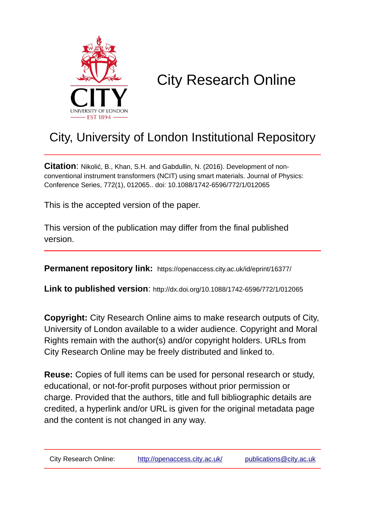

# City Research Online

## City, University of London Institutional Repository

**Citation**: Nikolić, B., Khan, S.H. and Gabdullin, N. (2016). Development of nonconventional instrument transformers (NCIT) using smart materials. Journal of Physics: Conference Series, 772(1), 012065.. doi: 10.1088/1742-6596/772/1/012065

This is the accepted version of the paper.

This version of the publication may differ from the final published version.

**Permanent repository link:** https://openaccess.city.ac.uk/id/eprint/16377/

**Link to published version**: http://dx.doi.org/10.1088/1742-6596/772/1/012065

**Copyright:** City Research Online aims to make research outputs of City, University of London available to a wider audience. Copyright and Moral Rights remain with the author(s) and/or copyright holders. URLs from City Research Online may be freely distributed and linked to.

**Reuse:** Copies of full items can be used for personal research or study, educational, or not-for-profit purposes without prior permission or charge. Provided that the authors, title and full bibliographic details are credited, a hyperlink and/or URL is given for the original metadata page and the content is not changed in any way.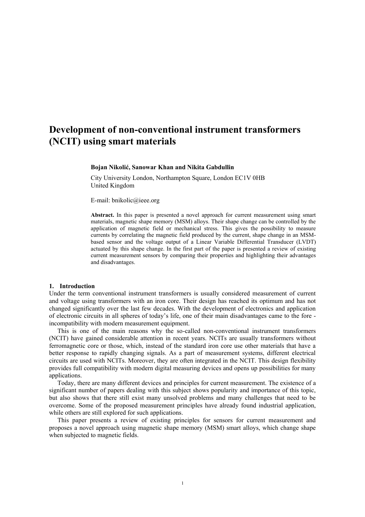### **Development of non-conventional instrument transformers (NCIT) using smart materials**

#### **Bojan Nikolić, Sanowar Khan and Nikita Gabdullin**

City University London, Northampton Square, London EC1V 0HB United Kingdom

E-mail: bnikolic@ieee.org

**Abstract.** In this paper is presented a novel approach for current measurement using smart materials, magnetic shape memory (MSM) alloys. Their shape change can be controlled by the application of magnetic field or mechanical stress. This gives the possibility to measure currents by correlating the magnetic field produced by the current, shape change in an MSMbased sensor and the voltage output of a Linear Variable Differential Transducer (LVDT) actuated by this shape change. In the first part of the paper is presented a review of existing current measurement sensors by comparing their properties and highlighting their advantages and disadvantages.

#### **1. Introduction**

Under the term conventional instrument transformers is usually considered measurement of current and voltage using transformers with an iron core. Their design has reached its optimum and has not changed significantly over the last few decades. With the development of electronics and application of electronic circuits in all spheres of today's life, one of their main disadvantages came to the fore incompatibility with modern measurement equipment.

 This is one of the main reasons why the so-called non-conventional instrument transformers (NCIT) have gained considerable attention in recent years. NCITs are usually transformers without ferromagnetic core or those, which, instead of the standard iron core use other materials that have a better response to rapidly changing signals. As a part of measurement systems, different electrical circuits are used with NCITs. Moreover, they are often integrated in the NCIT. This design flexibility provides full compatibility with modern digital measuring devices and opens up possibilities for many applications.

 Today, there are many different devices and principles for current measurement. The existence of a significant number of papers dealing with this subject shows popularity and importance of this topic, but also shows that there still exist many unsolved problems and many challenges that need to be overcome. Some of the proposed measurement principles have already found industrial application, while others are still explored for such applications.

 This paper presents a review of existing principles for sensors for current measurement and proposes a novel approach using magnetic shape memory (MSM) smart alloys, which change shape when subjected to magnetic fields.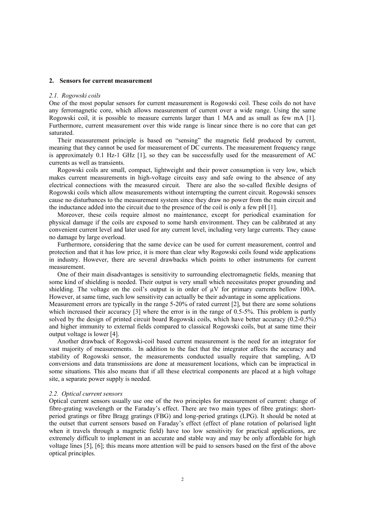#### **2. Sensors for current measurement**

#### *2.1. Rogowski coils*

One of the most popular sensors for current measurement is Rogowski coil. These coils do not have any ferromagnetic core, which allows measurement of current over a wide range. Using the same Rogowski coil, it is possible to measure currents larger than 1 MA and as small as few mA [1]. Furthermore, current measurement over this wide range is linear since there is no core that can get saturated.

Their measurement principle is based on "sensing" the magnetic field produced by current, meaning that they cannot be used for measurement of DC currents. The measurement frequency range is approximately 0.1 Hz-1 GHz [1], so they can be successfully used for the measurement of AC currents as well as transients.

 Rogowski coils are small, compact, lightweight and their power consumption is very low, which makes current measurements in high-voltage circuits easy and safe owing to the absence of any electrical connections with the measured circuit. There are also the so-called flexible designs of Rogowski coils which allow measurements without interrupting the current circuit. Rogowski sensors cause no disturbances to the measurement system since they draw no power from the main circuit and the inductance added into the circuit due to the presence of the coil is only a few pH [1].

 Moreover, these coils require almost no maintenance, except for periodical examination for physical damage if the coils are exposed to some harsh environment. They can be calibrated at any convenient current level and later used for any current level, including very large currents. They cause no damage by large overload.

 Furthermore, considering that the same device can be used for current measurement, control and protection and that it has low price, it is more than clear why Rogowski coils found wide applications in industry. However, there are several drawbacks which points to other instruments for current measurement.

 One of their main disadvantages is sensitivity to surrounding electromagnetic fields, meaning that some kind of shielding is needed. Their output is very small which necessitates proper grounding and shielding. The voltage on the coil's output is in order of  $\mu$ V for primary currents bellow 100A. However, at same time, such low sensitivity can actually be their advantage in some applications.

Measurement errors are typically in the range 5-20% of rated current [2], but there are some solutions which increased their accuracy [3] where the error is in the range of 0.5-5%. This problem is partly solved by the design of printed circuit board Rogowski coils, which have better accuracy (0.2-0.5%) and higher immunity to external fields compared to classical Rogowski coils, but at same time their output voltage is lower [4].

 Another drawback of Rogowski-coil based current measurement is the need for an integrator for vast majority of measurements. In addition to the fact that the integrator affects the accuracy and stability of Rogowski sensor, the measurements conducted usually require that sampling, A/D conversions and data transmissions are done at measurement locations, which can be impractical in some situations. This also means that if all these electrical components are placed at a high voltage site, a separate power supply is needed.

#### *2.2. Optical current sensors*

Optical current sensors usually use one of the two principles for measurement of current: change of fibre-grating wavelength or the Faraday's effect. There are two main types of fibre gratings: shortperiod gratings or fibre Bragg gratings (FBG) and long-period gratings (LPG). It should be noted at the outset that current sensors based on Faraday's effect (effect of plane rotation of polarised light when it travels through a magnetic field) have too low sensitivity for practical applications, are extremely difficult to implement in an accurate and stable way and may be only affordable for high voltage lines [5], [6]; this means more attention will be paid to sensors based on the first of the above optical principles.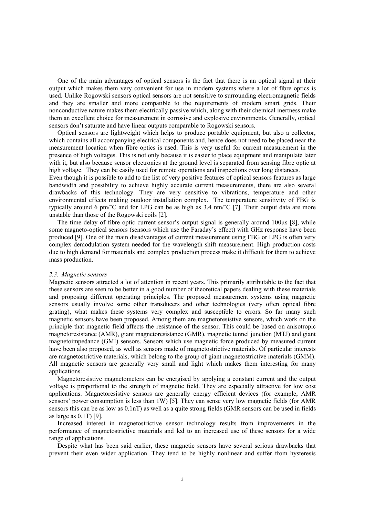One of the main advantages of optical sensors is the fact that there is an optical signal at their output which makes them very convenient for use in modern systems where a lot of fibre optics is used. Unlike Rogowski sensors optical sensors are not sensitive to surrounding electromagnetic fields and they are smaller and more compatible to the requirements of modern smart grids. Their nonconductive nature makes them electrically passive which, along with their chemical inertness make them an excellent choice for measurement in corrosive and explosive environments. Generally, optical sensors don't saturate and have linear outputs comparable to Rogowski sensors.

 Optical sensors are lightweight which helps to produce portable equipment, but also a collector, which contains all accompanying electrical components and, hence does not need to be placed near the measurement location when fibre optics is used. This is very useful for current measurement in the presence of high voltages. This is not only because it is easier to place equipment and manipulate later with it, but also because sensor electronics at the ground level is separated from sensing fibre optic at high voltage. They can be easily used for remote operations and inspections over long distances.

Even though it is possible to add to the list of very positive features of optical sensors features as large bandwidth and possibility to achieve highly accurate current measurements, there are also several drawbacks of this technology. They are very sensitive to vibrations, temperature and other environmental effects making outdoor installation complex. The temperature sensitivity of FBG is typically around 6 pm/˚C and for LPG can be as high as 3.4 nm/˚C [7]. Their output data are more unstable than those of the Rogowski coils [2].

The time delay of fibre optic current sensor's output signal is generally around 100 $\mu$ s [8], while some magneto-optical sensors (sensors which use the Faraday's effect) with GHz response have been produced [9]. One of the main disadvantages of current measurement using FBG or LPG is often very complex demodulation system needed for the wavelength shift measurement. High production costs due to high demand for materials and complex production process make it difficult for them to achieve mass production.

#### *2.3. Magnetic sensors*

Magnetic sensors attracted a lot of attention in recent years. This primarily attributable to the fact that these sensors are seen to be better in a good number of theoretical papers dealing with these materials and proposing different operating principles. The proposed measurement systems using magnetic sensors usually involve some other transducers and other technologies (very often optical fibre grating), what makes these systems very complex and susceptible to errors. So far many such magnetic sensors have been proposed. Among them are magnetoresistive sensors, which work on the principle that magnetic field affects the resistance of the sensor. This could be based on anisotropic magnetoresistance (AMR), giant magnetoresistance (GMR), magnetic tunnel junction (MTJ) and giant magnetoimpedance (GMI) sensors. Sensors which use magnetic force produced by measured current have been also proposed, as well as sensors made of magnetostrictive materials. Of particular interests are magnetostrictive materials, which belong to the group of giant magnetostrictive materials (GMM). All magnetic sensors are generally very small and light which makes them interesting for many applications.

 Magnetoresistive magnetometers can be energised by applying a constant current and the output voltage is proportional to the strength of magnetic field. They are especially attractive for low cost applications. Magnetoresistive sensors are generally energy efficient devices (for example, AMR sensors' power consumption is less than 1W) [5]. They can sense very low magnetic fields (for AMR sensors this can be as low as 0.1nT) as well as a quite strong fields (GMR sensors can be used in fields as large as 0.1T) [9].

 Increased interest in magnetostrictive sensor technology results from improvements in the performance of magnetostrictive materials and led to an increased use of these sensors for a wide range of applications.

 Despite what has been said earlier, these magnetic sensors have several serious drawbacks that prevent their even wider application. They tend to be highly nonlinear and suffer from hysteresis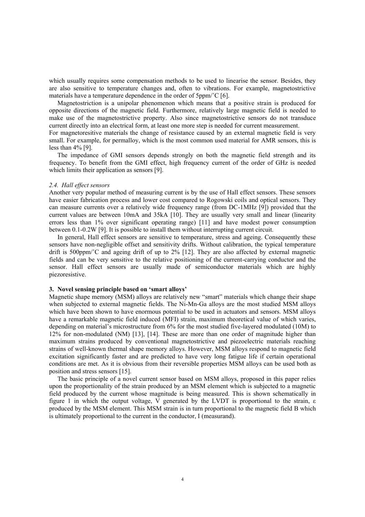which usually requires some compensation methods to be used to linearise the sensor. Besides, they are also sensitive to temperature changes and, often to vibrations. For example, magnetostrictive materials have a temperature dependence in the order of 5ppm/˚C [6].

 Magnetostriction is a unipolar phenomenon which means that a positive strain is produced for opposite directions of the magnetic field. Furthermore, relatively large magnetic field is needed to make use of the magnetostrictive property. Also since magnetostrictive sensors do not transduce current directly into an electrical form, at least one more step is needed for current measurement.

For magnetoresitive materials the change of resistance caused by an external magnetic field is very small. For example, for permalloy, which is the most common used material for AMR sensors, this is less than 4% [9].

The impedance of GMI sensors depends strongly on both the magnetic field strength and its frequency. To benefit from the GMI effect, high frequency current of the order of GHz is needed which limits their application as sensors [9].

#### *2.4. Hall effect sensors*

Another very popular method of measuring current is by the use of Hall effect sensors. These sensors have easier fabrication process and lower cost compared to Rogowski coils and optical sensors. They can measure currents over a relatively wide frequency range (from DC-1MHz [9]) provided that the current values are between 10mA and 35kA [10]. They are usually very small and linear (linearity errors less than 1% over significant operating range) [11] and have modest power consumption between 0.1-0.2W [9]. It is possible to install them without interrupting current circuit.

 In general, Hall effect sensors are sensitive to temperature, stress and ageing. Consequently these sensors have non-negligible offset and sensitivity drifts. Without calibration, the typical temperature drift is 500ppm/°C and ageing drift of up to 2% [12]. They are also affected by external magnetic fields and can be very sensitive to the relative positioning of the current-carrying conductor and the sensor. Hall effect sensors are usually made of semiconductor materials which are highly piezoresistive.

#### **3. Novel sensing principle based on 'smart alloys'**

Magnetic shape memory (MSM) alloys are relatively new "smart" materials which change their shape when subjected to external magnetic fields. The Ni-Mn-Ga alloys are the most studied MSM alloys which have been shown to have enormous potential to be used in actuators and sensors. MSM alloys have a remarkable magnetic field induced (MFI) strain, maximum theoretical value of which varies, depending on material's microstructure from 6% for the most studied five-layered modulated (10M) to 12% for non-modulated (NM) [13], [14]. These are more than one order of magnitude higher than maximum strains produced by conventional magnetostrictive and piezoelectric materials reaching strains of well-known thermal shape memory alloys. However, MSM alloys respond to magnetic field excitation significantly faster and are predicted to have very long fatigue life if certain operational conditions are met. As it is obvious from their reversible properties MSM alloys can be used both as position and stress sensors [15].

 The basic principle of a novel current sensor based on MSM alloys, proposed in this paper relies upon the proportionality of the strain produced by an MSM element which is subjected to a magnetic field produced by the current whose magnitude is being measured. This is shown schematically in figure 1 in which the output voltage, V generated by the LVDT is proportional to the strain, ε produced by the MSM element. This MSM strain is in turn proportional to the magnetic field B which is ultimately proportional to the current in the conductor, I (measurand).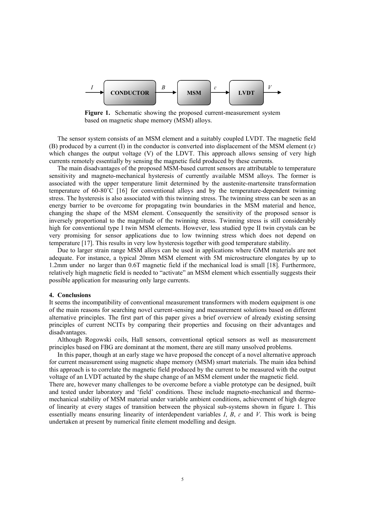

**Figure 1.** Schematic showing the proposed current-measurement system based on magnetic shape memory (MSM) alloys.

 The sensor system consists of an MSM element and a suitably coupled LVDT. The magnetic field (B) produced by a current (I) in the conductor is converted into displacement of the MSM element  $(\epsilon)$ which changes the output voltage (V) of the LDVT. This approach allows sensing of very high currents remotely essentially by sensing the magnetic field produced by these currents.

 The main disadvantages of the proposed MSM-based current sensors are attributable to temperature sensitivity and magneto-mechanical hysteresis of currently available MSM alloys. The former is associated with the upper temperature limit determined by the austenite-martensite transformation temperature of 60-80˚C [16] for conventional alloys and by the temperature-dependent twinning stress. The hysteresis is also associated with this twinning stress. The twinning stress can be seen as an energy barrier to be overcome for propagating twin boundaries in the MSM material and hence, changing the shape of the MSM element. Consequently the sensitivity of the proposed sensor is inversely proportional to the magnitude of the twinning stress. Twinning stress is still considerably high for conventional type I twin MSM elements. However, less studied type II twin crystals can be very promising for sensor applications due to low twinning stress which does not depend on temperature [17]. This results in very low hysteresis together with good temperature stability.

 Due to larger strain range MSM alloys can be used in applications where GMM materials are not adequate. For instance, a typical 20mm MSM element with 5M microstructure elongates by up to 1.2mm under no larger than 0.6T magnetic field if the mechanical load is small [18]. Furthermore, relatively high magnetic field is needed to "activate" an MSM element which essentially suggests their possible application for measuring only large currents.

#### **4. Conclusions**

It seems the incompatibility of conventional measurement transformers with modern equipment is one of the main reasons for searching novel current-sensing and measurement solutions based on different alternative principles. The first part of this paper gives a brief overview of already existing sensing principles of current NCITs by comparing their properties and focusing on their advantages and disadvantages.

 Although Rogowski coils, Hall sensors, conventional optical sensors as well as measurement principles based on FBG are dominant at the moment, there are still many unsolved problems.

 In this paper, though at an early stage we have proposed the concept of a novel alternative approach for current measurement using magnetic shape memory (MSM) smart materials. The main idea behind this approach is to correlate the magnetic field produced by the current to be measured with the output voltage of an LVDT actuated by the shape change of an MSM element under the magnetic field.

There are, however many challenges to be overcome before a viable prototype can be designed, built and tested under laboratory and 'field' conditions. These include magneto-mechanical and thermomechanical stability of MSM material under variable ambient conditions, achievement of high degree of linearity at every stages of transition between the physical sub-systems shown in figure 1. This essentially means ensuring linearity of interdependent variables *I*, *B*, *ɛ* and *V*. This work is being undertaken at present by numerical finite element modelling and design.